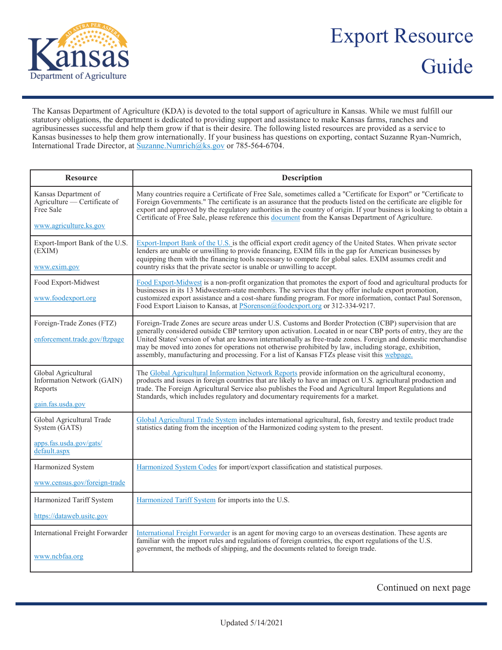

## Export Resource Guide

The Kansas Department of Agriculture (KDA) is devoted to the total support of agriculture in Kansas. While we must fulfill our statutory obligations, the department is dedicated to providing support and assistance to make Kansas farms, ranches and agribusinesses successful and help them grow if that is their desire. The following listed resources are provided as a service to Kansas businesses to help them grow internationally. If your business has questions on exporting, contact Suzanne Ryan-Numrich, International Trade Director, at [Suzanne.Numrich@ks.gov](mailto:Suzanne.Numrich@ks.gov) or 785-564-6704.

| <b>Resource</b>                                                                             | <b>Description</b>                                                                                                                                                                                                                                                                                                                                                                                                                                                                                                                                      |
|---------------------------------------------------------------------------------------------|---------------------------------------------------------------------------------------------------------------------------------------------------------------------------------------------------------------------------------------------------------------------------------------------------------------------------------------------------------------------------------------------------------------------------------------------------------------------------------------------------------------------------------------------------------|
| Kansas Department of<br>Agriculture — Certificate of<br>Free Sale<br>www.agriculture.ks.gov | Many countries require a Certificate of Free Sale, sometimes called a "Certificate for Export" or "Certificate to<br>Foreign Governments." The certificate is an assurance that the products listed on the certificate are eligible for<br>export and approved by the regulatory authorities in the country of origin. If your business is looking to obtain a<br>Certificate of Free Sale, please reference this document from the Kansas Department of Agriculture.                                                                                   |
| Export-Import Bank of the U.S.<br>(EXIM)<br>www.exim.gov                                    | Export-Import Bank of the U.S. is the official export credit agency of the United States. When private sector<br>lenders are unable or unwilling to provide financing, EXIM fills in the gap for American businesses by<br>equipping them with the financing tools necessary to compete for global sales. EXIM assumes credit and<br>country risks that the private sector is unable or unwilling to accept.                                                                                                                                            |
| Food Export-Midwest<br>www.foodexport.org                                                   | Food Export-Midwest is a non-profit organization that promotes the export of food and agricultural products for<br>businesses in its 13 Midwestern-state members. The services that they offer include export promotion,<br>customized export assistance and a cost-share funding program. For more information, contact Paul Sorenson,<br>Food Export Liaison to Kansas, at PSorenson@foodexport.org or 312-334-9217.                                                                                                                                  |
| Foreign-Trade Zones (FTZ)<br>enforcement.trade.gov/ftzpage                                  | Foreign-Trade Zones are secure areas under U.S. Customs and Border Protection (CBP) supervision that are<br>generally considered outside CBP territory upon activation. Located in or near CBP ports of entry, they are the<br>United States' version of what are known internationally as free-trade zones. Foreign and domestic merchandise<br>may be moved into zones for operations not otherwise prohibited by law, including storage, exhibition,<br>assembly, manufacturing and processing. For a list of Kansas FTZs please visit this webpage. |
| Global Agricultural<br>Information Network (GAIN)<br>Reports<br>gain.fas.usda.gov           | The Global Agricultural Information Network Reports provide information on the agricultural economy,<br>products and issues in foreign countries that are likely to have an impact on U.S. agricultural production and<br>trade. The Foreign Agricultural Service also publishes the Food and Agricultural Import Regulations and<br>Standards, which includes regulatory and documentary requirements for a market.                                                                                                                                    |
| Global Agricultural Trade<br>System (GATS)<br>apps.fas.usda.gov/gats/                       | Global Agricultural Trade System includes international agricultural, fish, forestry and textile product trade<br>statistics dating from the inception of the Harmonized coding system to the present.                                                                                                                                                                                                                                                                                                                                                  |
| default.aspx                                                                                |                                                                                                                                                                                                                                                                                                                                                                                                                                                                                                                                                         |
| Harmonized System                                                                           | Harmonized System Codes for import/export classification and statistical purposes.                                                                                                                                                                                                                                                                                                                                                                                                                                                                      |
| www.census.gov/foreign-trade                                                                |                                                                                                                                                                                                                                                                                                                                                                                                                                                                                                                                                         |
| Harmonized Tariff System                                                                    | Harmonized Tariff System for imports into the U.S.                                                                                                                                                                                                                                                                                                                                                                                                                                                                                                      |
| https://dataweb.usitc.gov                                                                   |                                                                                                                                                                                                                                                                                                                                                                                                                                                                                                                                                         |
| International Freight Forwarder<br>www.ncbfaa.org                                           | International Freight Forwarder is an agent for moving cargo to an overseas destination. These agents are<br>familiar with the import rules and regulations of foreign countries, the export regulations of the U.S.<br>government, the methods of shipping, and the documents related to foreign trade.                                                                                                                                                                                                                                                |

Continued on next page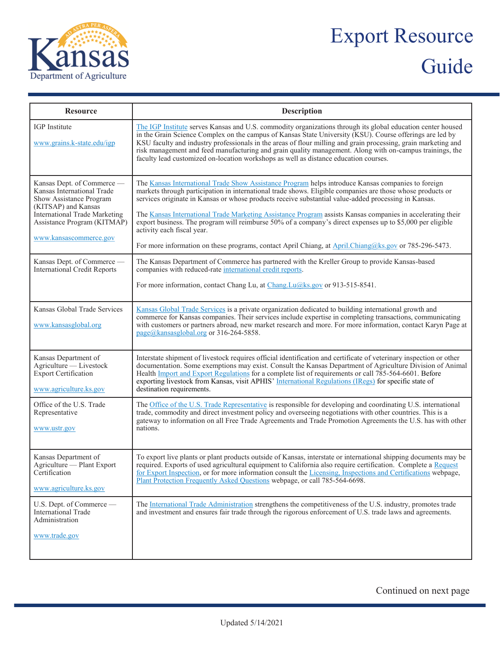

## Export Resource Guide

| <b>Resource</b>                                                                                                                                                                                             | <b>Description</b>                                                                                                                                                                                                                                                                                                                                                                                                                                                                                                                                                                                                                                                                         |
|-------------------------------------------------------------------------------------------------------------------------------------------------------------------------------------------------------------|--------------------------------------------------------------------------------------------------------------------------------------------------------------------------------------------------------------------------------------------------------------------------------------------------------------------------------------------------------------------------------------------------------------------------------------------------------------------------------------------------------------------------------------------------------------------------------------------------------------------------------------------------------------------------------------------|
| <b>IGP</b> Institute<br>www.grains.k-state.edu/igp                                                                                                                                                          | The IGP Institute serves Kansas and U.S. commodity organizations through its global education center housed<br>in the Grain Science Complex on the campus of Kansas State University (KSU). Course offerings are led by<br>KSU faculty and industry professionals in the areas of flour milling and grain processing, grain marketing and<br>risk management and feed manufacturing and grain quality management. Along with on-campus trainings, the<br>faculty lead customized on-location workshops as well as distance education courses.                                                                                                                                              |
| Kansas Dept. of Commerce —<br>Kansas International Trade<br>Show Assistance Program<br>(KITSAP) and Kansas<br><b>International Trade Marketing</b><br>Assistance Program (KITMAP)<br>www.kansascommerce.gov | The Kansas International Trade Show Assistance Program helps introduce Kansas companies to foreign<br>markets through participation in international trade shows. Eligible companies are those whose products or<br>services originate in Kansas or whose products receive substantial value-added processing in Kansas.<br>The Kansas International Trade Marketing Assistance Program assists Kansas companies in accelerating their<br>export business. The program will reimburse 50% of a company's direct expenses up to \$5,000 per eligible<br>activity each fiscal year.<br>For more information on these programs, contact April Chiang, at April.Chiang@ks.gov or 785-296-5473. |
| Kansas Dept. of Commerce -<br><b>International Credit Reports</b>                                                                                                                                           | The Kansas Department of Commerce has partnered with the Kreller Group to provide Kansas-based<br>companies with reduced-rate international credit reports.<br>For more information, contact Chang Lu, at Chang.Lu@ks.gov or 913-515-8541.                                                                                                                                                                                                                                                                                                                                                                                                                                                 |
| Kansas Global Trade Services<br>www.kansasglobal.org                                                                                                                                                        | Kansas Global Trade Services is a private organization dedicated to building international growth and<br>commerce for Kansas companies. Their services include expertise in completing transactions, communicating<br>with customers or partners abroad, new market research and more. For more information, contact Karyn Page at<br>page@kansasglobal.org or 316-264-5858.                                                                                                                                                                                                                                                                                                               |
| Kansas Department of<br>Agriculture - Livestock<br><b>Export Certification</b><br>www.agriculture.ks.gov                                                                                                    | Interstate shipment of livestock requires official identification and certificate of veterinary inspection or other<br>documentation. Some exemptions may exist. Consult the Kansas Department of Agriculture Division of Animal<br>Health Import and Export Regulations for a complete list of requirements or call 785-564-6601. Before<br>exporting livestock from Kansas, visit APHIS' International Regulations (IRegs) for specific state of<br>destination requirements.                                                                                                                                                                                                            |
| Office of the U.S. Trade<br>Representative<br>www.ustr.gov                                                                                                                                                  | The Office of the U.S. Trade Representative is responsible for developing and coordinating U.S. international<br>trade, commodity and direct investment policy and overseeing negotiations with other countries. This is a<br>gateway to information on all Free Trade Agreements and Trade Promotion Agreements the U.S. has with other<br>nations.                                                                                                                                                                                                                                                                                                                                       |
| Kansas Department of<br>Agriculture — Plant Export<br>Certification<br>www.agriculture.ks.gov                                                                                                               | To export live plants or plant products outside of Kansas, interstate or international shipping documents may be<br>required. Exports of used agricultural equipment to California also require certification. Complete a Request<br>for Export Inspection, or for more information consult the Licensing, Inspections and Certifications webpage,<br>Plant Protection Frequently Asked Questions webpage, or call 785-564-6698.                                                                                                                                                                                                                                                           |
| U.S. Dept. of Commerce -<br>International Trade<br>Administration<br>www.trade.gov                                                                                                                          | The International Trade Administration strengthens the competitiveness of the U.S. industry, promotes trade<br>and investment and ensures fair trade through the rigorous enforcement of U.S. trade laws and agreements.                                                                                                                                                                                                                                                                                                                                                                                                                                                                   |

Continued on next page